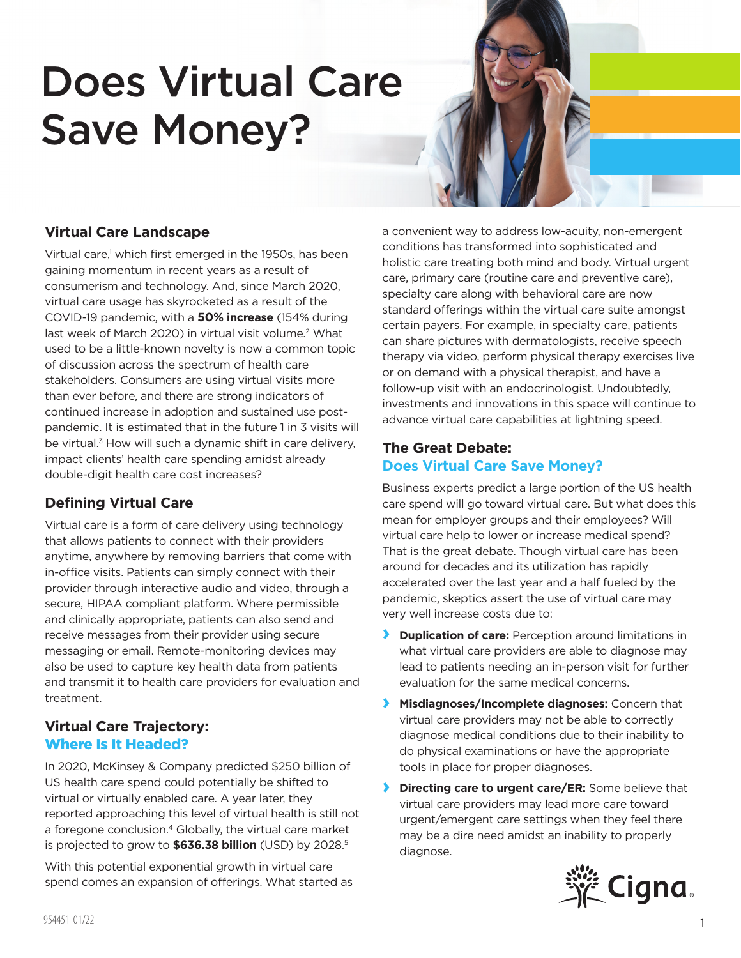# Does Virtual Care Save Money?

# **Virtual Care Landscape**

Virtual care,<sup>1</sup> which first emerged in the 1950s, has been gaining momentum in recent years as a result of consumerism and technology. And, since March 2020, virtual care usage has skyrocketed as a result of the COVID-19 pandemic, with a **50% increase** (154% during last week of March 2020) in virtual visit volume.<sup>2</sup> What used to be a little-known novelty is now a common topic of discussion across the spectrum of health care stakeholders. Consumers are using virtual visits more than ever before, and there are strong indicators of continued increase in adoption and sustained use postpandemic. It is estimated that in the future 1 in 3 visits will be virtual.<sup>3</sup> How will such a dynamic shift in care delivery, impact clients' health care spending amidst already double-digit health care cost increases?

# **Defining Virtual Care**

Virtual care is a form of care delivery using technology that allows patients to connect with their providers anytime, anywhere by removing barriers that come with in-office visits. Patients can simply connect with their provider through interactive audio and video, through a secure, HIPAA compliant platform. Where permissible and clinically appropriate, patients can also send and receive messages from their provider using secure messaging or email. Remote-monitoring devices may also be used to capture key health data from patients and transmit it to health care providers for evaluation and treatment.

## **Virtual Care Trajectory:**  Where Is It Headed?

In 2020, McKinsey & Company predicted \$250 billion of US health care spend could potentially be shifted to virtual or virtually enabled care. A year later, they reported approaching this level of virtual health is still not a foregone conclusion.<sup>4</sup> Globally, the virtual care market is projected to grow to **\$636.38 billion** (USD) by 2028.5

With this potential exponential growth in virtual care spend comes an expansion of offerings. What started as a convenient way to address low-acuity, non-emergent conditions has transformed into sophisticated and holistic care treating both mind and body. Virtual urgent care, primary care (routine care and preventive care), specialty care along with behavioral care are now standard offerings within the virtual care suite amongst certain payers. For example, in specialty care, patients can share pictures with dermatologists, receive speech therapy via video, perform physical therapy exercises live or on demand with a physical therapist, and have a follow-up visit with an endocrinologist. Undoubtedly, investments and innovations in this space will continue to advance virtual care capabilities at lightning speed.

## **The Great Debate: Does Virtual Care Save Money?**

Business experts predict a large portion of the US health care spend will go toward virtual care. But what does this mean for employer groups and their employees? Will virtual care help to lower or increase medical spend? That is the great debate. Though virtual care has been around for decades and its utilization has rapidly accelerated over the last year and a half fueled by the pandemic, skeptics assert the use of virtual care may very well increase costs due to:

- **› Duplication of care:** Perception around limitations in what virtual care providers are able to diagnose may lead to patients needing an in-person visit for further evaluation for the same medical concerns.
- **› Misdiagnoses/Incomplete diagnoses:** Concern that virtual care providers may not be able to correctly diagnose medical conditions due to their inability to do physical examinations or have the appropriate tools in place for proper diagnoses.
- **› Directing care to urgent care/ER:** Some believe that virtual care providers may lead more care toward urgent/emergent care settings when they feel there may be a dire need amidst an inability to properly diagnose.

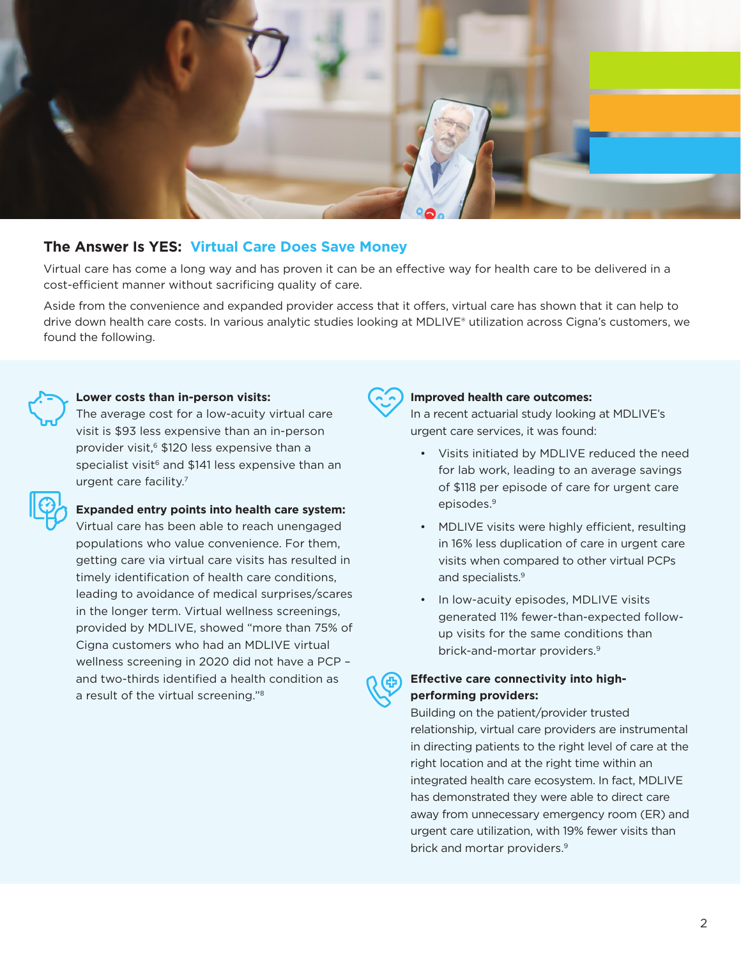

## **The Answer Is YES: Virtual Care Does Save Money**

Virtual care has come a long way and has proven it can be an effective way for health care to be delivered in a cost-efficient manner without sacrificing quality of care.

Aside from the convenience and expanded provider access that it offers, virtual care has shown that it can help to drive down health care costs. In various analytic studies looking at MDLIVE® utilization across Cigna's customers, we found the following.



#### **Lower costs than in-person visits:**

The average cost for a low-acuity virtual care visit is \$93 less expensive than an in-person provider visit,<sup>6</sup> \$120 less expensive than a specialist visit<sup>6</sup> and \$141 less expensive than an urgent care facility.7

#### **Expanded entry points into health care system:**

Virtual care has been able to reach unengaged populations who value convenience. For them, getting care via virtual care visits has resulted in timely identification of health care conditions, leading to avoidance of medical surprises/scares in the longer term. Virtual wellness screenings, provided by MDLIVE, showed "more than 75% of Cigna customers who had an MDLIVE virtual wellness screening in 2020 did not have a PCP – and two-thirds identified a health condition as a result of the virtual screening."8



#### **Improved health care outcomes:**

In a recent actuarial study looking at MDLIVE's urgent care services, it was found:

- Visits initiated by MDLIVE reduced the need for lab work, leading to an average savings of \$118 per episode of care for urgent care episodes.9
- MDLIVE visits were highly efficient, resulting in 16% less duplication of care in urgent care visits when compared to other virtual PCPs and specialists.<sup>9</sup>
- In low-acuity episodes, MDLIVE visits generated 11% fewer-than-expected followup visits for the same conditions than brick-and-mortar providers.<sup>9</sup>

## **Effective care connectivity into highperforming providers:**

Building on the patient/provider trusted relationship, virtual care providers are instrumental in directing patients to the right level of care at the right location and at the right time within an integrated health care ecosystem. In fact, MDLIVE has demonstrated they were able to direct care away from unnecessary emergency room (ER) and urgent care utilization, with 19% fewer visits than brick and mortar providers.<sup>9</sup>